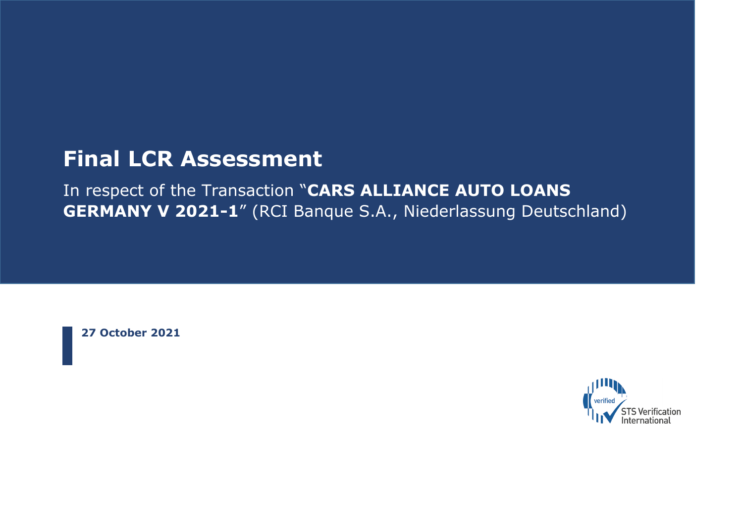## **Final LCR Assessment**

In respect of the Transaction "**CARS ALLIANCE AUTO LOANS GERMANY V 2021-1**" (RCI Banque S.A., Niederlassung Deutschland)

**27 October 2021**

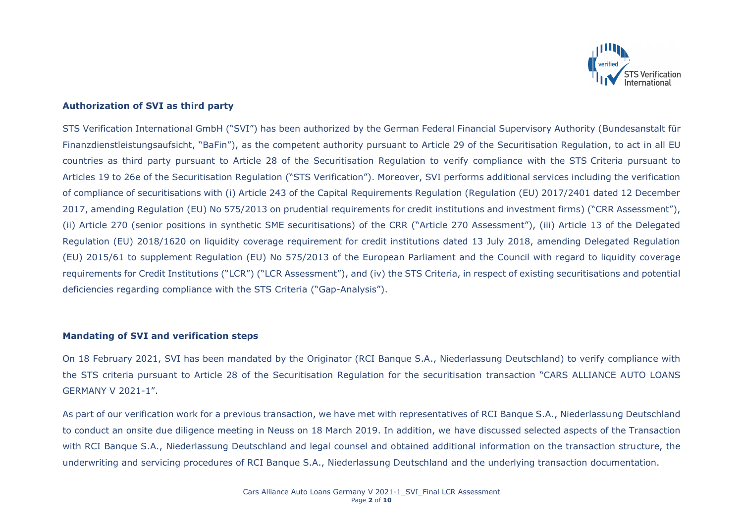

#### **Authorization of SVI as third party**

STS Verification International GmbH ("SVI") has been authorized by the German Federal Financial Supervisory Authority (Bundesanstalt für Finanzdienstleistungsaufsicht, "BaFin"), as the competent authority pursuant to Article 29 of the Securitisation Regulation, to act in all EU countries as third party pursuant to Article 28 of the Securitisation Regulation to verify compliance with the STS Criteria pursuant to Articles 19 to 26e of the Securitisation Regulation ("STS Verification"). Moreover, SVI performs additional services including the verification of compliance of securitisations with (i) Article 243 of the Capital Requirements Regulation (Regulation (EU) 2017/2401 dated 12 December 2017, amending Regulation (EU) No 575/2013 on prudential requirements for credit institutions and investment firms) ("CRR Assessment"), (ii) Article 270 (senior positions in synthetic SME securitisations) of the CRR ("Article 270 Assessment"), (iii) Article 13 of the Delegated Regulation (EU) 2018/1620 on liquidity coverage requirement for credit institutions dated 13 July 2018, amending Delegated Regulation (EU) 2015/61 to supplement Regulation (EU) No 575/2013 of the European Parliament and the Council with regard to liquidity coverage requirements for Credit Institutions ("LCR") ("LCR Assessment"), and (iv) the STS Criteria, in respect of existing securitisations and potential deficiencies regarding compliance with the STS Criteria ("Gap-Analysis").

#### **Mandating of SVI and verification steps**

On 18 February 2021, SVI has been mandated by the Originator (RCI Banque S.A., Niederlassung Deutschland) to verify compliance with the STS criteria pursuant to Article 28 of the Securitisation Regulation for the securitisation transaction "CARS ALLIANCE AUTO LOANS GERMANY V 2021-1".

As part of our verification work for a previous transaction, we have met with representatives of RCI Banque S.A., Niederlassung Deutschland to conduct an onsite due diligence meeting in Neuss on 18 March 2019. In addition, we have discussed selected aspects of the Transaction with RCI Banque S.A., Niederlassung Deutschland and legal counsel and obtained additional information on the transaction structure, the underwriting and servicing procedures of RCI Banque S.A., Niederlassung Deutschland and the underlying transaction documentation.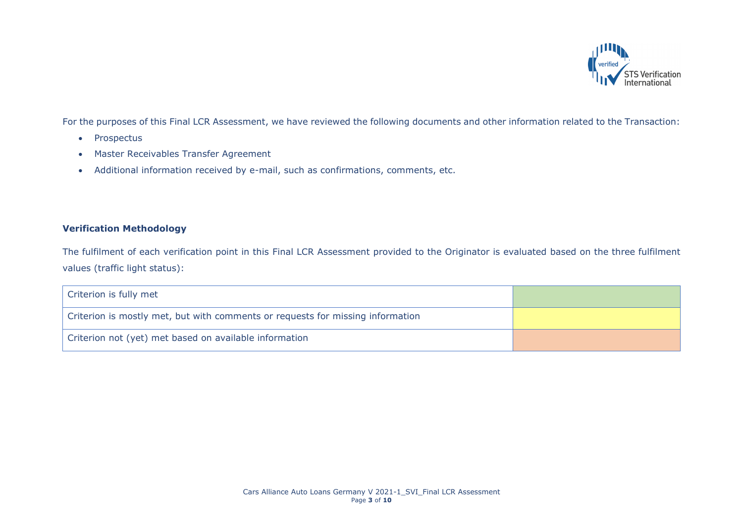

For the purposes of this Final LCR Assessment, we have reviewed the following documents and other information related to the Transaction:

- Prospectus
- Master Receivables Transfer Agreement
- Additional information received by e-mail, such as confirmations, comments, etc.

### **Verification Methodology**

The fulfilment of each verification point in this Final LCR Assessment provided to the Originator is evaluated based on the three fulfilment values (traffic light status):

| Criterion is fully met                                                         |  |
|--------------------------------------------------------------------------------|--|
| Criterion is mostly met, but with comments or requests for missing information |  |
| Criterion not (yet) met based on available information                         |  |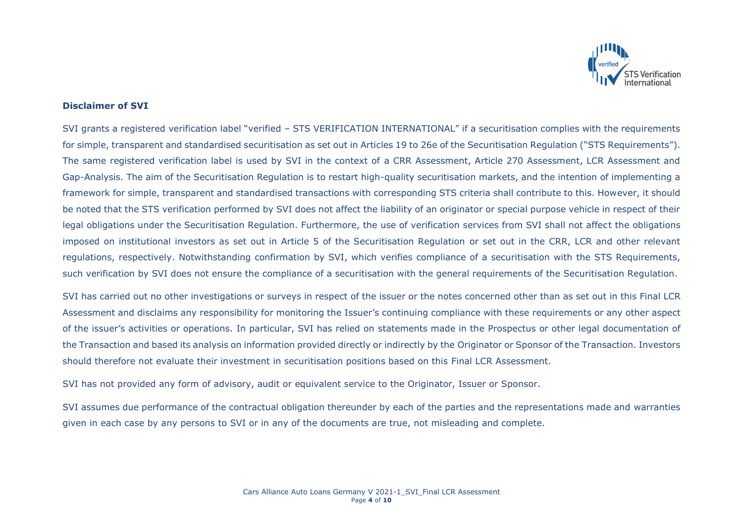

#### **Disclaimer of SVI**

SVI grants a registered verification label "verified – STS VERIFICATION INTERNATIONAL" if a securitisation complies with the requirements for simple, transparent and standardised securitisation as set out in Articles 19 to 26e of the Securitisation Regulation ("STS Reguirements"). The same registered verification label is used by SVI in the context of a CRR Assessment, Article 270 Assessment, LCR Assessment and Gap-Analysis. The aim of the Securitisation Regulation is to restart high-quality securitisation markets, and the intention of implementing a framework for simple, transparent and standardised transactions with corresponding STS criteria shall contribute to this. However, it should be noted that the STS verification performed by SVI does not affect the liability of an originator or special purpose vehicle in respect of their legal obligations under the Securitisation Regulation. Furthermore, the use of verification services from SVI shall not affect the obligations imposed on institutional investors as set out in Article 5 of the Securitisation Regulation or set out in the CRR, LCR and other relevant regulations, respectively. Notwithstanding confirmation by SVI, which verifies compliance of a securitisation with the STS Requirements, such verification by SVI does not ensure the compliance of a securitisation with the general requirements of the Securitisation Regulation.

SVI has carried out no other investigations or surveys in respect of the issuer or the notes concerned other than as set out in this Final LCR Assessment and disclaims any responsibility for monitoring the Issuer's continuing compliance with these requirements or any other aspect of the issuer's activities or operations. In particular, SVI has relied on statements made in the Prospectus or other legal documentation of the Transaction and based its analysis on information provided directly or indirectly by the Originator or Sponsor of the Transaction. Investors should therefore not evaluate their investment in securitisation positions based on this Final LCR Assessment.

SVI has not provided any form of advisory, audit or equivalent service to the Originator, Issuer or Sponsor.

SVI assumes due performance of the contractual obligation thereunder by each of the parties and the representations made and warranties given in each case by any persons to SVI or in any of the documents are true, not misleading and complete.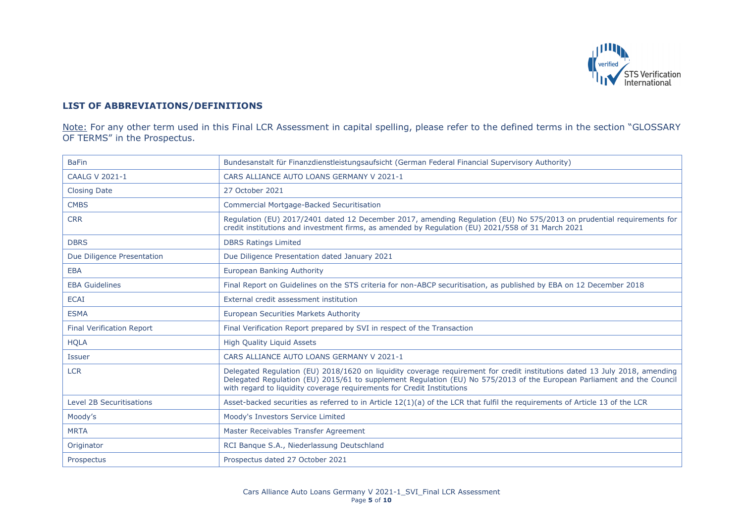

#### **LIST OF ABBREVIATIONS/DEFINITIONS**

Note: For any other term used in this Final LCR Assessment in capital spelling, please refer to the defined terms in the section "GLOSSARY OF TERMS" in the Prospectus.

| <b>BaFin</b>                     | Bundesanstalt für Finanzdienstleistungsaufsicht (German Federal Financial Supervisory Authority)                                                                                                                                                                                                                               |
|----------------------------------|--------------------------------------------------------------------------------------------------------------------------------------------------------------------------------------------------------------------------------------------------------------------------------------------------------------------------------|
| <b>CAALG V 2021-1</b>            | CARS ALLIANCE AUTO LOANS GERMANY V 2021-1                                                                                                                                                                                                                                                                                      |
| <b>Closing Date</b>              | 27 October 2021                                                                                                                                                                                                                                                                                                                |
| <b>CMBS</b>                      | <b>Commercial Mortgage-Backed Securitisation</b>                                                                                                                                                                                                                                                                               |
| <b>CRR</b>                       | Regulation (EU) 2017/2401 dated 12 December 2017, amending Regulation (EU) No 575/2013 on prudential requirements for<br>credit institutions and investment firms, as amended by Regulation (EU) 2021/558 of 31 March 2021                                                                                                     |
| <b>DBRS</b>                      | <b>DBRS Ratings Limited</b>                                                                                                                                                                                                                                                                                                    |
| Due Diligence Presentation       | Due Diligence Presentation dated January 2021                                                                                                                                                                                                                                                                                  |
| <b>EBA</b>                       | European Banking Authority                                                                                                                                                                                                                                                                                                     |
| <b>EBA Guidelines</b>            | Final Report on Guidelines on the STS criteria for non-ABCP securitisation, as published by EBA on 12 December 2018                                                                                                                                                                                                            |
| <b>ECAI</b>                      | External credit assessment institution                                                                                                                                                                                                                                                                                         |
| <b>ESMA</b>                      | European Securities Markets Authority                                                                                                                                                                                                                                                                                          |
| <b>Final Verification Report</b> | Final Verification Report prepared by SVI in respect of the Transaction                                                                                                                                                                                                                                                        |
| <b>HQLA</b>                      | <b>High Quality Liguid Assets</b>                                                                                                                                                                                                                                                                                              |
| Issuer                           | CARS ALLIANCE AUTO LOANS GERMANY V 2021-1                                                                                                                                                                                                                                                                                      |
| <b>LCR</b>                       | Delegated Regulation (EU) 2018/1620 on liquidity coverage requirement for credit institutions dated 13 July 2018, amending<br>Delegated Regulation (EU) 2015/61 to supplement Regulation (EU) No 575/2013 of the European Parliament and the Council<br>with regard to liquidity coverage requirements for Credit Institutions |
| <b>Level 2B Securitisations</b>  | Asset-backed securities as referred to in Article 12(1)(a) of the LCR that fulfil the requirements of Article 13 of the LCR                                                                                                                                                                                                    |
| Moody's                          | Moody's Investors Service Limited                                                                                                                                                                                                                                                                                              |
| <b>MRTA</b>                      | Master Receivables Transfer Agreement                                                                                                                                                                                                                                                                                          |
| Originator                       | RCI Banque S.A., Niederlassung Deutschland                                                                                                                                                                                                                                                                                     |
| Prospectus                       | Prospectus dated 27 October 2021                                                                                                                                                                                                                                                                                               |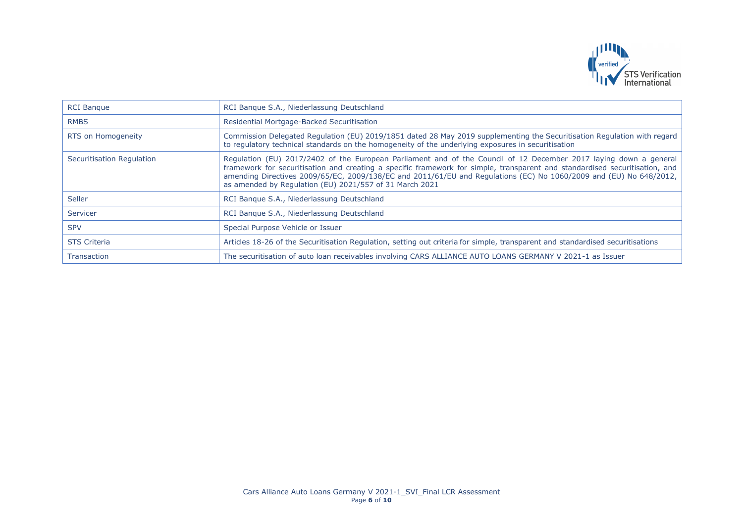

| <b>RCI Banque</b>         | RCI Banque S.A., Niederlassung Deutschland                                                                                                                                                                                                                                                                                                                                                                                        |
|---------------------------|-----------------------------------------------------------------------------------------------------------------------------------------------------------------------------------------------------------------------------------------------------------------------------------------------------------------------------------------------------------------------------------------------------------------------------------|
| <b>RMBS</b>               | Residential Mortgage-Backed Securitisation                                                                                                                                                                                                                                                                                                                                                                                        |
| RTS on Homogeneity        | Commission Delegated Regulation (EU) 2019/1851 dated 28 May 2019 supplementing the Securitisation Regulation with regard<br>to regulatory technical standards on the homogeneity of the underlying exposures in securitisation                                                                                                                                                                                                    |
| Securitisation Regulation | Regulation (EU) 2017/2402 of the European Parliament and of the Council of 12 December 2017 laying down a general<br>framework for securitisation and creating a specific framework for simple, transparent and standardised securitisation, and<br>amending Directives 2009/65/EC, 2009/138/EC and 2011/61/EU and Regulations (EC) No 1060/2009 and (EU) No 648/2012,<br>as amended by Regulation (EU) 2021/557 of 31 March 2021 |
| Seller                    | RCI Bangue S.A., Niederlassung Deutschland                                                                                                                                                                                                                                                                                                                                                                                        |
| Servicer                  | RCI Banque S.A., Niederlassung Deutschland                                                                                                                                                                                                                                                                                                                                                                                        |
| <b>SPV</b>                | Special Purpose Vehicle or Issuer                                                                                                                                                                                                                                                                                                                                                                                                 |
| <b>STS Criteria</b>       | Articles 18-26 of the Securitisation Regulation, setting out criteria for simple, transparent and standardised securitisations                                                                                                                                                                                                                                                                                                    |
| <b>Transaction</b>        | The securitisation of auto loan receivables involving CARS ALLIANCE AUTO LOANS GERMANY V 2021-1 as Issuer                                                                                                                                                                                                                                                                                                                         |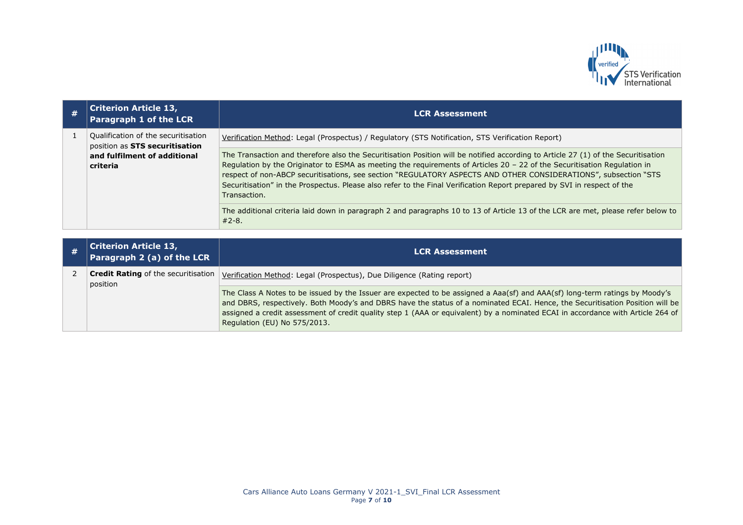

| # | <b>Criterion Article 13,</b><br>Paragraph 1 of the LCR                                                            | <b>LCR Assessment</b>                                                                                                                                                                                                                                                                                                                                                                                                                                                                                                       |
|---|-------------------------------------------------------------------------------------------------------------------|-----------------------------------------------------------------------------------------------------------------------------------------------------------------------------------------------------------------------------------------------------------------------------------------------------------------------------------------------------------------------------------------------------------------------------------------------------------------------------------------------------------------------------|
|   | Qualification of the securitisation<br>position as STS securitisation<br>and fulfilment of additional<br>criteria | Verification Method: Legal (Prospectus) / Regulatory (STS Notification, STS Verification Report)                                                                                                                                                                                                                                                                                                                                                                                                                            |
|   |                                                                                                                   | The Transaction and therefore also the Securitisation Position will be notified according to Article 27 (1) of the Securitisation<br>Regulation by the Originator to ESMA as meeting the requirements of Articles 20 - 22 of the Securitisation Regulation in<br>respect of non-ABCP securitisations, see section "REGULATORY ASPECTS AND OTHER CONSIDERATIONS", subsection "STS<br>Securitisation" in the Prospectus. Please also refer to the Final Verification Report prepared by SVI in respect of the<br>Transaction. |
|   |                                                                                                                   | The additional criteria laid down in paragraph 2 and paragraphs 10 to 13 of Article 13 of the LCR are met, please refer below to<br>$#2 - 8.$                                                                                                                                                                                                                                                                                                                                                                               |

| <b>Criterion Article 13,</b><br>Paragraph 2 (a) of the LCR | <b>LCR Assessment</b>                                                                                                                                                                                                                                                                                                                                                                                                           |
|------------------------------------------------------------|---------------------------------------------------------------------------------------------------------------------------------------------------------------------------------------------------------------------------------------------------------------------------------------------------------------------------------------------------------------------------------------------------------------------------------|
| <b>Credit Rating of the securitisation</b><br>position     | Verification Method: Legal (Prospectus), Due Diligence (Rating report)                                                                                                                                                                                                                                                                                                                                                          |
|                                                            | The Class A Notes to be issued by the Issuer are expected to be assigned a Aaa(sf) and AAA(sf) long-term ratings by Moody's<br>and DBRS, respectively. Both Moody's and DBRS have the status of a nominated ECAI. Hence, the Securitisation Position will be<br>assigned a credit assessment of credit quality step 1 (AAA or equivalent) by a nominated ECAI in accordance with Article 264 of<br>Regulation (EU) No 575/2013. |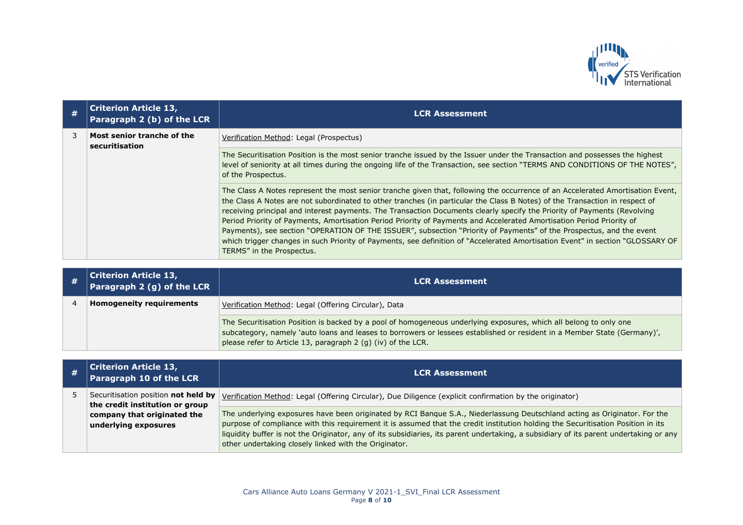

| # | <b>Criterion Article 13,</b><br>Paragraph 2 (b) of the LCR | <b>LCR Assessment</b>                                                                                                                                                                                                                                                                                                                                                                                                                                                                                                                                                                                                                                                                                                                                                                                     |
|---|------------------------------------------------------------|-----------------------------------------------------------------------------------------------------------------------------------------------------------------------------------------------------------------------------------------------------------------------------------------------------------------------------------------------------------------------------------------------------------------------------------------------------------------------------------------------------------------------------------------------------------------------------------------------------------------------------------------------------------------------------------------------------------------------------------------------------------------------------------------------------------|
|   | Most senior tranche of the<br>securitisation               | Verification Method: Legal (Prospectus)                                                                                                                                                                                                                                                                                                                                                                                                                                                                                                                                                                                                                                                                                                                                                                   |
|   |                                                            | The Securitisation Position is the most senior tranche issued by the Issuer under the Transaction and possesses the highest<br>level of seniority at all times during the ongoing life of the Transaction, see section "TERMS AND CONDITIONS OF THE NOTES",<br>of the Prospectus.                                                                                                                                                                                                                                                                                                                                                                                                                                                                                                                         |
|   |                                                            | The Class A Notes represent the most senior tranche given that, following the occurrence of an Accelerated Amortisation Event,<br>the Class A Notes are not subordinated to other tranches (in particular the Class B Notes) of the Transaction in respect of<br>receiving principal and interest payments. The Transaction Documents clearly specify the Priority of Payments (Revolving<br>Period Priority of Payments, Amortisation Period Priority of Payments and Accelerated Amortisation Period Priority of<br>Payments), see section "OPERATION OF THE ISSUER", subsection "Priority of Payments" of the Prospectus, and the event<br>which trigger changes in such Priority of Payments, see definition of "Accelerated Amortisation Event" in section "GLOSSARY OF<br>TERMS" in the Prospectus. |

| <b>Criterion Article 13,</b><br>Paragraph 2 (g) of the LCR | <b>LCR Assessment</b>                                                                                                                                                                                                                                                                                         |
|------------------------------------------------------------|---------------------------------------------------------------------------------------------------------------------------------------------------------------------------------------------------------------------------------------------------------------------------------------------------------------|
| <b>Homogeneity requirements</b>                            | Verification Method: Legal (Offering Circular), Data                                                                                                                                                                                                                                                          |
|                                                            | The Securitisation Position is backed by a pool of homogeneous underlying exposures, which all belong to only one<br>subcategory, namely 'auto loans and leases to borrowers or lessees established or resident in a Member State (Germany)',<br>please refer to Article 13, paragraph 2 (g) (iv) of the LCR. |

| # | Criterion Article 13,<br>Paragraph 10 of the LCR                       | <b>LCR Assessment</b>                                                                                                                                                                                                                                                                                                                                                                                                                                            |
|---|------------------------------------------------------------------------|------------------------------------------------------------------------------------------------------------------------------------------------------------------------------------------------------------------------------------------------------------------------------------------------------------------------------------------------------------------------------------------------------------------------------------------------------------------|
|   | Securitisation position not held by<br>the credit institution or group | Verification Method: Legal (Offering Circular), Due Diligence (explicit confirmation by the originator)                                                                                                                                                                                                                                                                                                                                                          |
|   | company that originated the<br>underlying exposures                    | The underlying exposures have been originated by RCI Banque S.A., Niederlassung Deutschland acting as Originator. For the<br>purpose of compliance with this requirement it is assumed that the credit institution holding the Securitisation Position in its<br>liquidity buffer is not the Originator, any of its subsidiaries, its parent undertaking, a subsidiary of its parent undertaking or any<br>other undertaking closely linked with the Originator. |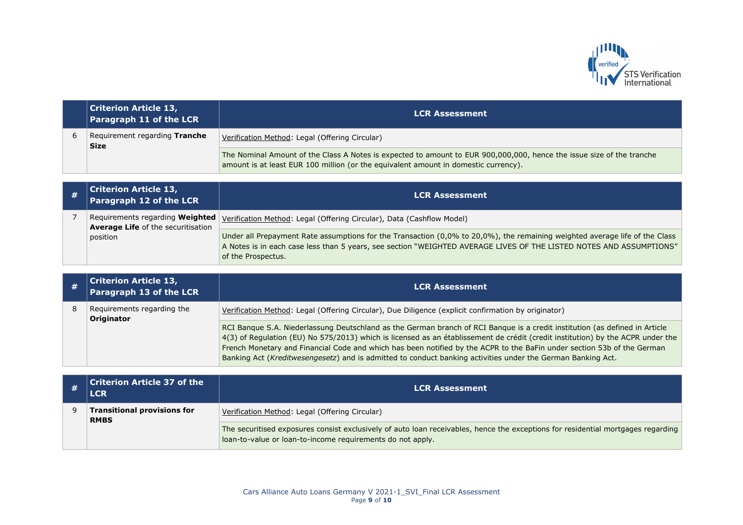

| <b>Criterion Article 13,</b><br>Paragraph 11 of the LCR | <b>LCR Assessment</b>                                                                                                                                                                                        |
|---------------------------------------------------------|--------------------------------------------------------------------------------------------------------------------------------------------------------------------------------------------------------------|
| Requirement regarding Tranche<br><b>Size</b>            | Verification Method: Legal (Offering Circular)                                                                                                                                                               |
|                                                         | The Nominal Amount of the Class A Notes is expected to amount to EUR 900,000,000, hence the issue size of the tranche<br>amount is at least EUR 100 million (or the equivalent amount in domestic currency). |

| # | <b>Criterion Article 13,</b><br>Paragraph 12 of the LCR | <b>LCR Assessment</b>                                                                                                                                                                                                                                                    |
|---|---------------------------------------------------------|--------------------------------------------------------------------------------------------------------------------------------------------------------------------------------------------------------------------------------------------------------------------------|
|   | <b>Average Life of the securitisation</b>               | Requirements regarding Weighted   <u>Verification Method</u> : Legal (Offering Circular), Data (Cashflow Model)                                                                                                                                                          |
|   | position                                                | Under all Prepayment Rate assumptions for the Transaction (0,0% to 20,0%), the remaining weighted average life of the Class<br>A Notes is in each case less than 5 years, see section "WEIGHTED AVERAGE LIVES OF THE LISTED NOTES AND ASSUMPTIONS"<br>of the Prospectus. |

|   | <b>Criterion Article 13,</b><br>Paragraph 13 of the LCR | <b>LCR Assessment</b>                                                                                                                                                                                                                                                                                                                                                                                                                                                                                    |
|---|---------------------------------------------------------|----------------------------------------------------------------------------------------------------------------------------------------------------------------------------------------------------------------------------------------------------------------------------------------------------------------------------------------------------------------------------------------------------------------------------------------------------------------------------------------------------------|
| 8 | Requirements regarding the<br><b>Originator</b>         | Verification Method: Legal (Offering Circular), Due Diligence (explicit confirmation by originator)                                                                                                                                                                                                                                                                                                                                                                                                      |
|   |                                                         | RCI Banque S.A. Niederlassung Deutschland as the German branch of RCI Banque is a credit institution (as defined in Article<br>4(3) of Regulation (EU) No 575/2013) which is licensed as an établissement de crédit (credit institution) by the ACPR under the<br>French Monetary and Financial Code and which has been notified by the ACPR to the BaFin under section 53b of the German<br>Banking Act (Kreditwesengesetz) and is admitted to conduct banking activities under the German Banking Act. |

|  | $\mid$ Criterion Article 37 of the<br><b>LCR</b>  | <b>LCR Assessment</b>                                                                                                                                                                          |
|--|---------------------------------------------------|------------------------------------------------------------------------------------------------------------------------------------------------------------------------------------------------|
|  | <b>Transitional provisions for</b><br><b>RMBS</b> | Verification Method: Legal (Offering Circular)                                                                                                                                                 |
|  |                                                   | The securitised exposures consist exclusively of auto loan receivables, hence the exceptions for residential mortgages regarding<br>loan-to-value or loan-to-income requirements do not apply. |